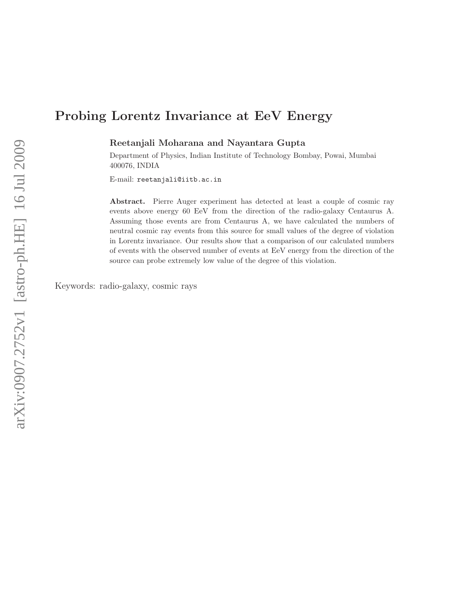# Probing Lorentz Invariance at EeV Energy

Reetanjali Moharana and Nayantara Gupta

Department of Physics, Indian Institute of Technology Bombay, Powai, Mumbai 400076, INDIA

E-mail: reetanjali@iitb.ac.in

Abstract. Pierre Auger experiment has detected at least a couple of cosmic ray events above energy 60 EeV from the direction of the radio-galaxy Centaurus A. Assuming those events are from Centaurus A, we have calculated the numbers of neutral cosmic ray events from this source for small values of the degree of violation in Lorentz invariance. Our results show that a comparison of our calculated numbers of events with the observed number of events at EeV energy from the direction of the source can probe extremely low value of the degree of this violation.

Keywords: radio-galaxy, cosmic rays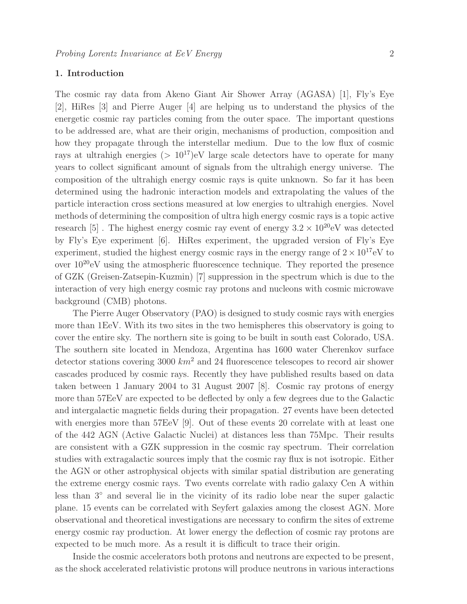## 1. Introduction

The cosmic ray data from Akeno Giant Air Shower Array (AGASA) [1], Fly's Eye [2], HiRes [3] and Pierre Auger [4] are helping us to understand the physics of the energetic cosmic ray particles coming from the outer space. The important questions to be addressed are, what are their origin, mechanisms of production, composition and how they propagate through the interstellar medium. Due to the low flux of cosmic rays at ultrahigh energies  $(>10^{17})$ eV large scale detectors have to operate for many years to collect significant amount of signals from the ultrahigh energy universe. The composition of the ultrahigh energy cosmic rays is quite unknown. So far it has been determined using the hadronic interaction models and extrapolating the values of the particle interaction cross sections measured at low energies to ultrahigh energies. Novel methods of determining the composition of ultra high energy cosmic rays is a topic active research [5]. The highest energy cosmic ray event of energy  $3.2 \times 10^{20}$ eV was detected by Fly's Eye experiment [6]. HiRes experiment, the upgraded version of Fly's Eye experiment, studied the highest energy cosmic rays in the energy range of  $2 \times 10^{17}$ eV to over  $10^{20}$ eV using the atmospheric fluorescence technique. They reported the presence of GZK (Greisen-Zatsepin-Kuzmin) [7] suppression in the spectrum which is due to the interaction of very high energy cosmic ray protons and nucleons with cosmic microwave background (CMB) photons.

The Pierre Auger Observatory (PAO) is designed to study cosmic rays with energies more than 1EeV. With its two sites in the two hemispheres this observatory is going to cover the entire sky. The northern site is going to be built in south east Colorado, USA. The southern site located in Mendoza, Argentina has 1600 water Cherenkov surface detector stations covering 3000  $km^2$  and 24 fluorescence telescopes to record air shower cascades produced by cosmic rays. Recently they have published results based on data taken between 1 January 2004 to 31 August 2007 [8]. Cosmic ray protons of energy more than 57EeV are expected to be deflected by only a few degrees due to the Galactic and intergalactic magnetic fields during their propagation. 27 events have been detected with energies more than 57EeV [9]. Out of these events 20 correlate with at least one of the 442 AGN (Active Galactic Nuclei) at distances less than 75Mpc. Their results are consistent with a GZK suppression in the cosmic ray spectrum. Their correlation studies with extragalactic sources imply that the cosmic ray flux is not isotropic. Either the AGN or other astrophysical objects with similar spatial distribution are generating the extreme energy cosmic rays. Two events correlate with radio galaxy Cen A within less than 3<sup>°</sup> and several lie in the vicinity of its radio lobe near the super galactic plane. 15 events can be correlated with Seyfert galaxies among the closest AGN. More observational and theoretical investigations are necessary to confirm the sites of extreme energy cosmic ray production. At lower energy the deflection of cosmic ray protons are expected to be much more. As a result it is difficult to trace their origin.

Inside the cosmic accelerators both protons and neutrons are expected to be present, as the shock accelerated relativistic protons will produce neutrons in various interactions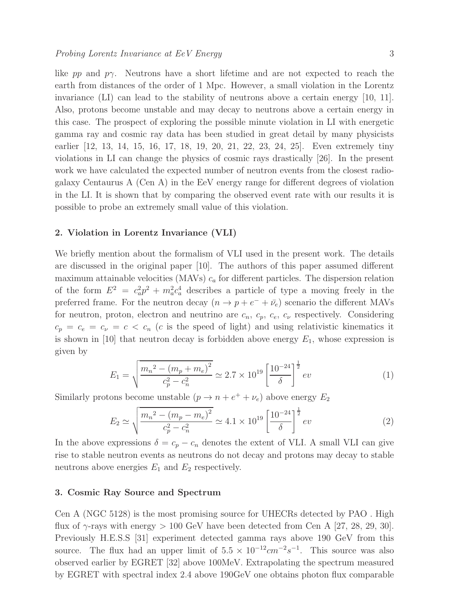like pp and  $p\gamma$ . Neutrons have a short lifetime and are not expected to reach the earth from distances of the order of 1 Mpc. However, a small violation in the Lorentz invariance (LI) can lead to the stability of neutrons above a certain energy [10, 11]. Also, protons become unstable and may decay to neutrons above a certain energy in this case. The prospect of exploring the possible minute violation in LI with energetic gamma ray and cosmic ray data has been studied in great detail by many physicists earlier [12, 13, 14, 15, 16, 17, 18, 19, 20, 21, 22, 23, 24, 25]. Even extremely tiny violations in LI can change the physics of cosmic rays drastically [26]. In the present work we have calculated the expected number of neutron events from the closest radiogalaxy Centaurus A (Cen A) in the EeV energy range for different degrees of violation in the LI. It is shown that by comparing the observed event rate with our results it is possible to probe an extremely small value of this violation.

#### 2. Violation in Lorentz Invariance (VLI)

We briefly mention about the formalism of VLI used in the present work. The details are discussed in the original paper [10]. The authors of this paper assumed different maximum attainable velocities (MAVs)  $c_a$  for different particles. The dispersion relation of the form  $E^2 = c_a^2$  $a_a^2 p^2 + m_a^2 c_a^4$  describes a particle of type a moving freely in the preferred frame. For the neutron decay  $(n \to p + e^- + \bar{\nu}_e)$  scenario the different MAVs for neutron, proton, electron and neutrino are  $c_n$ ,  $c_p$ ,  $c_e$ ,  $c_\nu$  respectively. Considering  $c_p = c_e = c_v = c \lt c_n$  (c is the speed of light) and using relativistic kinematics it is shown in [10] that neutron decay is forbidden above energy  $E_1$ , whose expression is given by

$$
E_1 = \sqrt{\frac{m_n^2 - (m_p + m_e)^2}{c_p^2 - c_n^2}} \simeq 2.7 \times 10^{19} \left[ \frac{10^{-24}}{\delta} \right]^{\frac{1}{2}} ev
$$
 (1)

Similarly protons become unstable  $(p \to n + e^+ + \nu_e)$  above energy  $E_2$ 

$$
E_2 \simeq \sqrt{\frac{m_n^2 - (m_p - m_e)^2}{c_p^2 - c_n^2}} \simeq 4.1 \times 10^{19} \left[ \frac{10^{-24}}{\delta} \right]^{\frac{1}{2}} ev
$$
 (2)

In the above expressions  $\delta = c_p - c_n$  denotes the extent of VLI. A small VLI can give rise to stable neutron events as neutrons do not decay and protons may decay to stable neutrons above energies  $E_1$  and  $E_2$  respectively.

#### 3. Cosmic Ray Source and Spectrum

Cen A (NGC 5128) is the most promising source for UHECRs detected by PAO . High flux of  $\gamma$ -rays with energy  $> 100$  GeV have been detected from Cen A [27, 28, 29, 30]. Previously H.E.S.S [31] experiment detected gamma rays above 190 GeV from this source. The flux had an upper limit of  $5.5 \times 10^{-12}$  cm<sup>-2</sup>s<sup>-1</sup>. This source was also observed earlier by EGRET [32] above 100MeV. Extrapolating the spectrum measured by EGRET with spectral index 2.4 above 190GeV one obtains photon flux comparable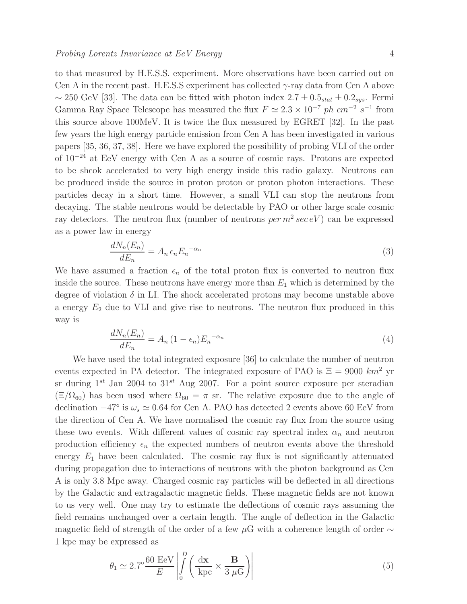to that measured by H.E.S.S. experiment. More observations have been carried out on Cen A in the recent past. H.E.S.S experiment has collected  $\gamma$ -ray data from Cen A above ~ 250 GeV [33]. The data can be fitted with photon index  $2.7 \pm 0.5_{stat} \pm 0.2_{sys}$ . Fermi Gamma Ray Space Telescope has measured the flux  $F \simeq 2.3 \times 10^{-7}$  ph cm<sup>-2</sup> s<sup>-1</sup> from this source above 100MeV. It is twice the flux measured by EGRET [32]. In the past few years the high energy particle emission from Cen A has been investigated in various papers [35, 36, 37, 38]. Here we have explored the possibility of probing VLI of the order of 10<sup>−</sup><sup>24</sup> at EeV energy with Cen A as a source of cosmic rays. Protons are expected to be shcok accelerated to very high energy inside this radio galaxy. Neutrons can be produced inside the source in proton proton or proton photon interactions. These particles decay in a short time. However, a small VLI can stop the neutrons from decaying. The stable neutrons would be detectable by PAO or other large scale cosmic ray detectors. The neutron flux (number of neutrons  $per\ m^2\ sec\ eV$ ) can be expressed as a power law in energy

$$
\frac{dN_n(E_n)}{dE_n} = A_n \epsilon_n E_n^{-\alpha_n} \tag{3}
$$

We have assumed a fraction  $\epsilon_n$  of the total proton flux is converted to neutron flux inside the source. These neutrons have energy more than  $E_1$  which is determined by the degree of violation  $\delta$  in LI. The shock accelerated protons may become unstable above a energy  $E_2$  due to VLI and give rise to neutrons. The neutron flux produced in this way is

$$
\frac{dN_n(E_n)}{dE_n} = A_n (1 - \epsilon_n) E_n^{-\alpha_n} \tag{4}
$$

We have used the total integrated exposure [36] to calculate the number of neutron events expected in PA detector. The integrated exposure of PAO is  $\Xi = 9000$  km<sup>2</sup> yr sr during  $1^{st}$  Jan 2004 to  $31^{st}$  Aug 2007. For a point source exposure per steradian  $(\Xi/\Omega_{60})$  has been used where  $\Omega_{60} = \pi$  sr. The relative exposure due to the angle of declination  $-47°$  is  $\omega_s \simeq 0.64$  for Cen A. PAO has detected 2 events above 60 EeV from the direction of Cen A. We have normalised the cosmic ray flux from the source using these two events. With different values of cosmic ray spectral index  $\alpha_n$  and neutron production efficiency  $\epsilon_n$  the expected numbers of neutron events above the threshold energy  $E_1$  have been calculated. The cosmic ray flux is not significantly attenuated during propagation due to interactions of neutrons with the photon background as Cen A is only 3.8 Mpc away. Charged cosmic ray particles will be deflected in all directions by the Galactic and extragalactic magnetic fields. These magnetic fields are not known to us very well. One may try to estimate the deflections of cosmic rays assuming the field remains unchanged over a certain length. The angle of deflection in the Galactic magnetic field of strength of the order of a few  $\mu$ G with a coherence length of order ∼ 1 kpc may be expressed as

$$
\theta_1 \simeq 2.7^\circ \frac{60 \text{ EeV}}{E} \left| \int_0^D \left( \frac{\text{dx}}{\text{kpc}} \times \frac{\text{B}}{3 \mu \text{G}} \right) \right| \tag{5}
$$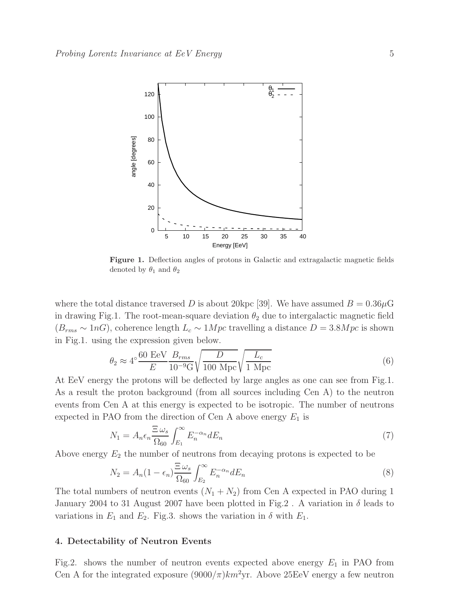

Figure 1. Deflection angles of protons in Galactic and extragalactic magnetic fields denoted by  $\theta_1$  and  $\theta_2$ 

where the total distance traversed D is about 20 kpc [39]. We have assumed  $B = 0.36 \mu$ G in drawing Fig.1. The root-mean-square deviation  $\theta_2$  due to intergalactic magnetic field  $(B_{rms} \sim 1 nG)$ , coherence length  $L_c \sim 1 Mpc$  travelling a distance  $D = 3.8 Mpc$  is shown in Fig.1. using the expression given below.

$$
\theta_2 \approx 4^{\circ} \frac{60 \text{ EeV}}{E} \frac{B_{rms}}{10^{-9} \text{G}} \sqrt{\frac{D}{100 \text{ Mpc}}} \sqrt{\frac{L_c}{1 \text{ Mpc}}} \tag{6}
$$

At EeV energy the protons will be deflected by large angles as one can see from Fig.1. As a result the proton background (from all sources including Cen A) to the neutron events from Cen A at this energy is expected to be isotropic. The number of neutrons expected in PAO from the direction of Cen A above energy  $E_1$  is

$$
N_1 = A_n \epsilon_n \frac{\Xi \,\omega_s}{\Omega_{60}} \int_{E_1}^{\infty} E_n^{-\alpha_n} dE_n \tag{7}
$$

Above energy  $E_2$  the number of neutrons from decaying protons is expected to be

$$
N_2 = A_n (1 - \epsilon_n) \frac{\Xi \omega_s}{\Omega_{60}} \int_{E_2}^{\infty} E_n^{-\alpha_n} dE_n \tag{8}
$$

The total numbers of neutron events  $(N_1 + N_2)$  from Cen A expected in PAO during 1 January 2004 to 31 August 2007 have been plotted in Fig.2. A variation in  $\delta$  leads to variations in  $E_1$  and  $E_2$ . Fig.3. shows the variation in  $\delta$  with  $E_1$ .

#### 4. Detectability of Neutron Events

Fig.2. shows the number of neutron events expected above energy  $E_1$  in PAO from Cen A for the integrated exposure  $(9000/\pi)km^2yr$ . Above 25EeV energy a few neutron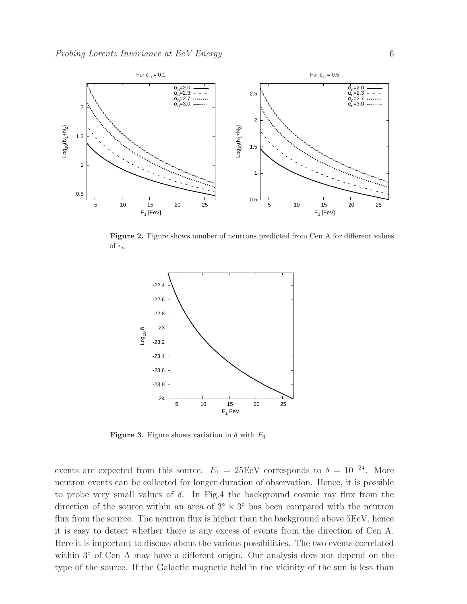

Figure 2. Figure shows number of neutrons predicted from Cen A for different values of  $\epsilon_n$ 



**Figure 3.** Figure shows variation in  $\delta$  with  $E_1$ 

events are expected from this source.  $E_1 = 25 \text{EeV}$  corresponds to  $\delta = 10^{-24}$ . More neutron events can be collected for longer duration of observation. Hence, it is possible to probe very small values of  $\delta$ . In Fig.4 the background cosmic ray flux from the direction of the source within an area of  $3° \times 3°$  has been compared with the neutron flux from the source. The neutron flux is higher than the background above 5EeV, hence it is easy to detect whether there is any excess of events from the direction of Cen A. Here it is important to discuss about the various possibilities. The two events correlated within 3◦ of Cen A may have a different origin. Our analysis does not depend on the type of the source. If the Galactic magnetic field in the vicinity of the sun is less than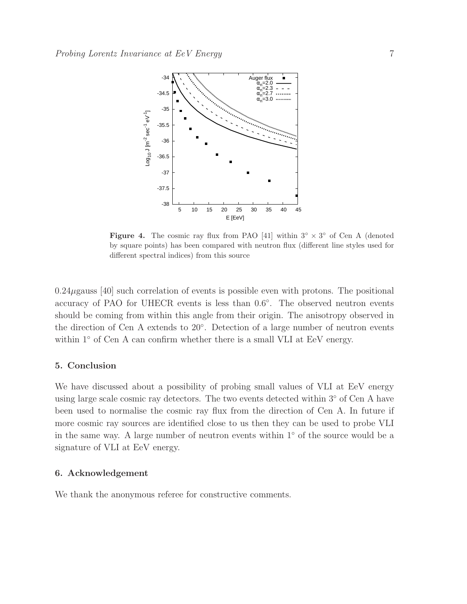

Figure 4. The cosmic ray flux from PAO [41] within  $3^\circ \times 3^\circ$  of Cen A (denoted by square points) has been compared with neutron flux (different line styles used for different spectral indices) from this source

 $0.24\mu$ gauss [40] such correlation of events is possible even with protons. The positional accuracy of PAO for UHECR events is less than  $0.6^{\circ}$ . The observed neutron events should be coming from within this angle from their origin. The anisotropy observed in the direction of Cen A extends to 20◦ . Detection of a large number of neutron events within 1<sup>°</sup> of Cen A can confirm whether there is a small VLI at EeV energy.

### 5. Conclusion

We have discussed about a possibility of probing small values of VLI at EeV energy using large scale cosmic ray detectors. The two events detected within 3<sup>°</sup> of Cen A have been used to normalise the cosmic ray flux from the direction of Cen A. In future if more cosmic ray sources are identified close to us then they can be used to probe VLI in the same way. A large number of neutron events within 1◦ of the source would be a signature of VLI at EeV energy.

## 6. Acknowledgement

We thank the anonymous referee for constructive comments.